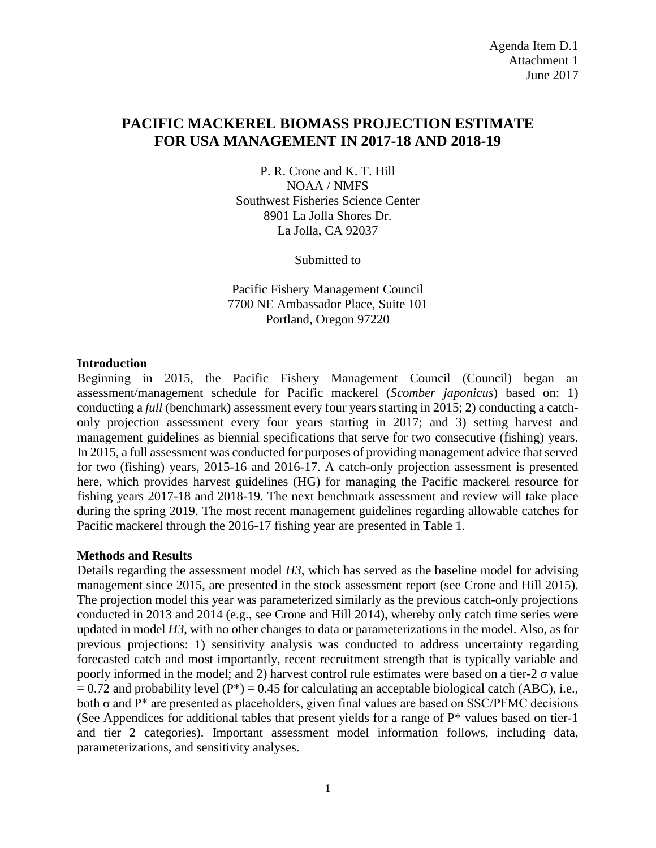### **PACIFIC MACKEREL BIOMASS PROJECTION ESTIMATE FOR USA MANAGEMENT IN 2017-18 AND 2018-19**

P. R. Crone and K. T. Hill NOAA / NMFS Southwest Fisheries Science Center 8901 La Jolla Shores Dr. La Jolla, CA 92037

Submitted to

Pacific Fishery Management Council 7700 NE Ambassador Place, Suite 101 Portland, Oregon 97220

#### **Introduction**

Beginning in 2015, the Pacific Fishery Management Council (Council) began an assessment/management schedule for Pacific mackerel (*Scomber japonicus*) based on: 1) conducting a *full* (benchmark) assessment every four years starting in 2015; 2) conducting a catchonly projection assessment every four years starting in 2017; and 3) setting harvest and management guidelines as biennial specifications that serve for two consecutive (fishing) years. In 2015, a full assessment was conducted for purposes of providing management advice that served for two (fishing) years, 2015-16 and 2016-17. A catch-only projection assessment is presented here, which provides harvest guidelines (HG) for managing the Pacific mackerel resource for fishing years 2017-18 and 2018-19. The next benchmark assessment and review will take place during the spring 2019. The most recent management guidelines regarding allowable catches for Pacific mackerel through the 2016-17 fishing year are presented in Table 1.

#### **Methods and Results**

Details regarding the assessment model *H3*, which has served as the baseline model for advising management since 2015, are presented in the stock assessment report (see Crone and Hill 2015). The projection model this year was parameterized similarly as the previous catch-only projections conducted in 2013 and 2014 (e.g., see Crone and Hill 2014), whereby only catch time series were updated in model *H3*, with no other changes to data or parameterizations in the model. Also, as for previous projections: 1) sensitivity analysis was conducted to address uncertainty regarding forecasted catch and most importantly, recent recruitment strength that is typically variable and poorly informed in the model; and 2) harvest control rule estimates were based on a tier-2 σ value  $= 0.72$  and probability level (P<sup>\*</sup>) = 0.45 for calculating an acceptable biological catch (ABC), i.e., both  $\sigma$  and  $P^*$  are presented as placeholders, given final values are based on SSC/PFMC decisions (See Appendices for additional tables that present yields for a range of P\* values based on tier-1 and tier 2 categories). Important assessment model information follows, including data, parameterizations, and sensitivity analyses.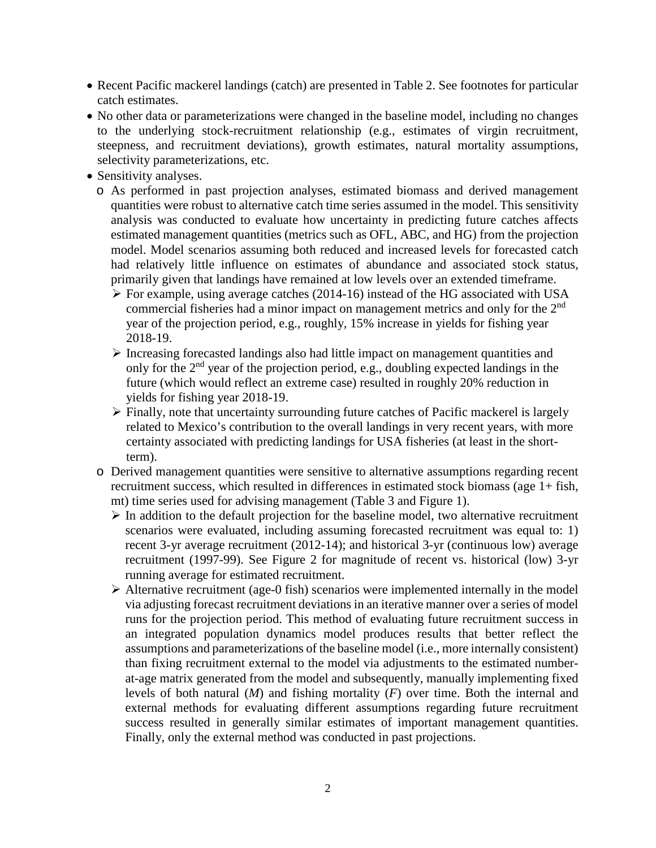- Recent Pacific mackerel landings (catch) are presented in Table 2. See footnotes for particular catch estimates.
- No other data or parameterizations were changed in the baseline model, including no changes to the underlying stock-recruitment relationship (e.g., estimates of virgin recruitment, steepness, and recruitment deviations), growth estimates, natural mortality assumptions, selectivity parameterizations, etc.
- Sensitivity analyses.
	- o As performed in past projection analyses, estimated biomass and derived management quantities were robust to alternative catch time series assumed in the model. This sensitivity analysis was conducted to evaluate how uncertainty in predicting future catches affects estimated management quantities (metrics such as OFL, ABC, and HG) from the projection model. Model scenarios assuming both reduced and increased levels for forecasted catch had relatively little influence on estimates of abundance and associated stock status, primarily given that landings have remained at low levels over an extended timeframe.
		- $\triangleright$  For example, using average catches (2014-16) instead of the HG associated with USA commercial fisheries had a minor impact on management metrics and only for the  $2<sup>nd</sup>$ year of the projection period, e.g., roughly, 15% increase in yields for fishing year 2018-19.
		- $\triangleright$  Increasing forecasted landings also had little impact on management quantities and only for the  $2<sup>nd</sup>$  year of the projection period, e.g., doubling expected landings in the future (which would reflect an extreme case) resulted in roughly 20% reduction in yields for fishing year 2018-19.
		- Finally, note that uncertainty surrounding future catches of Pacific mackerel is largely related to Mexico's contribution to the overall landings in very recent years, with more certainty associated with predicting landings for USA fisheries (at least in the shortterm).
	- o Derived management quantities were sensitive to alternative assumptions regarding recent recruitment success, which resulted in differences in estimated stock biomass (age 1+ fish, mt) time series used for advising management (Table 3 and Figure 1).
		- $\triangleright$  In addition to the default projection for the baseline model, two alternative recruitment scenarios were evaluated, including assuming forecasted recruitment was equal to: 1) recent 3-yr average recruitment (2012-14); and historical 3-yr (continuous low) average recruitment (1997-99). See Figure 2 for magnitude of recent vs. historical (low) 3-yr running average for estimated recruitment.
		- $\triangleright$  Alternative recruitment (age-0 fish) scenarios were implemented internally in the model via adjusting forecast recruitment deviations in an iterative manner over a series of model runs for the projection period. This method of evaluating future recruitment success in an integrated population dynamics model produces results that better reflect the assumptions and parameterizations of the baseline model (i.e., more internally consistent) than fixing recruitment external to the model via adjustments to the estimated numberat-age matrix generated from the model and subsequently, manually implementing fixed levels of both natural (*M*) and fishing mortality (*F*) over time. Both the internal and external methods for evaluating different assumptions regarding future recruitment success resulted in generally similar estimates of important management quantities. Finally, only the external method was conducted in past projections.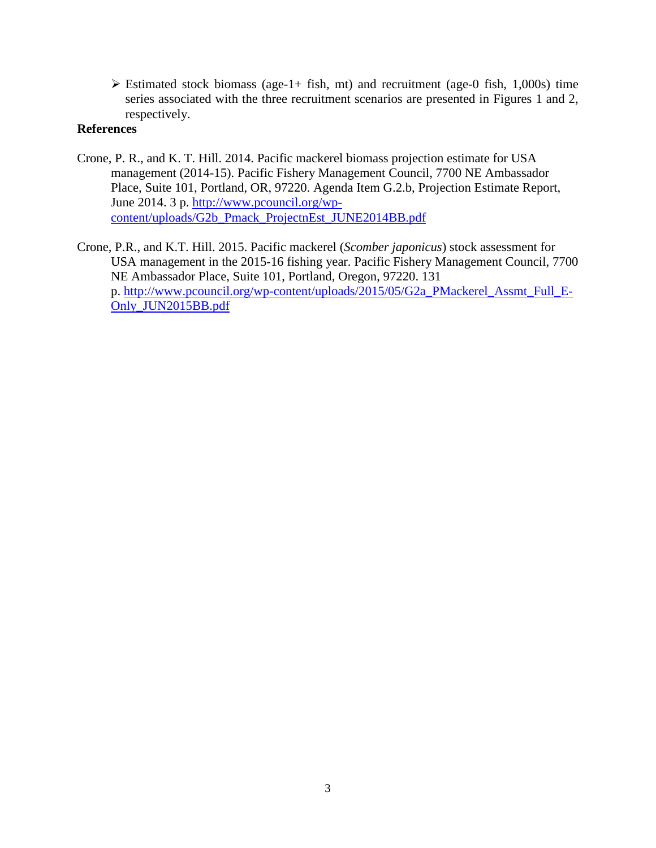$\triangleright$  Estimated stock biomass (age-1+ fish, mt) and recruitment (age-0 fish, 1,000s) time series associated with the three recruitment scenarios are presented in Figures 1 and 2, respectively.

### **References**

- Crone, P. R., and K. T. Hill. 2014. Pacific mackerel biomass projection estimate for USA management (2014-15). Pacific Fishery Management Council, 7700 NE Ambassador Place, Suite 101, Portland, OR, 97220. Agenda Item G.2.b, Projection Estimate Report, June 2014. 3 p. [http://www.pcouncil.org/wp](http://www.pcouncil.org/wp-content/uploads/G2b_Pmack_ProjectnEst_JUNE2014BB.pdf)[content/uploads/G2b\\_Pmack\\_ProjectnEst\\_JUNE2014BB.pdf](http://www.pcouncil.org/wp-content/uploads/G2b_Pmack_ProjectnEst_JUNE2014BB.pdf)
- Crone, P.R., and K.T. Hill. 2015. Pacific mackerel (*Scomber japonicus*) stock assessment for USA management in the 2015-16 fishing year. Pacific Fishery Management Council, 7700 NE Ambassador Place, Suite 101, Portland, Oregon, 97220. 131 p. [http://www.pcouncil.org/wp-content/uploads/2015/05/G2a\\_PMackerel\\_Assmt\\_Full\\_E-](http://www.pcouncil.org/wp-content/uploads/2015/05/G2a_PMackerel_Assmt_Full_E-Only_JUN2015BB.pdf)[Only\\_JUN2015BB.pdf](http://www.pcouncil.org/wp-content/uploads/2015/05/G2a_PMackerel_Assmt_Full_E-Only_JUN2015BB.pdf)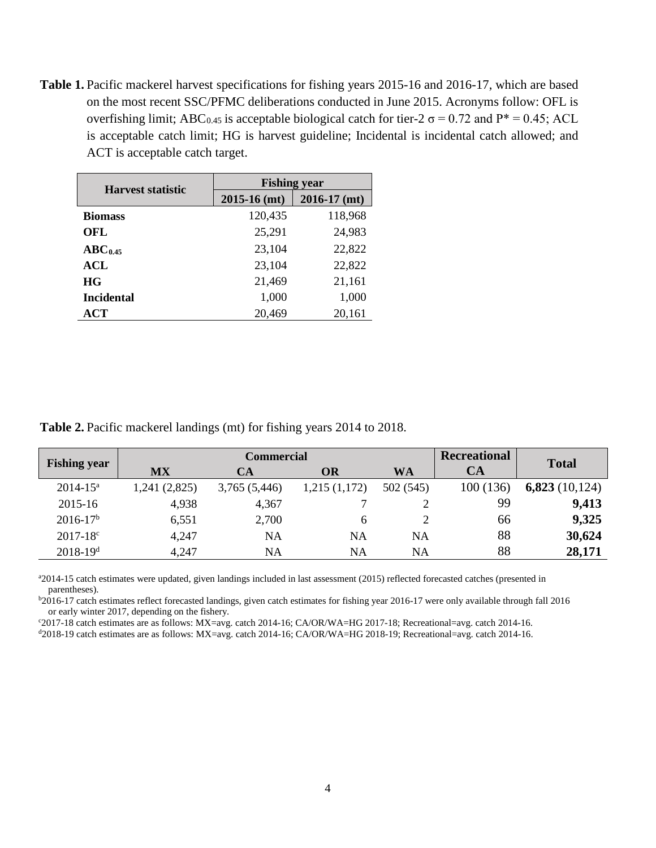**Table 1.** Pacific mackerel harvest specifications for fishing years 2015-16 and 2016-17, which are based on the most recent SSC/PFMC deliberations conducted in June 2015. Acronyms follow: OFL is overfishing limit; ABC<sub>0.45</sub> is acceptable biological catch for tier-2  $\sigma$  = 0.72 and P<sup>\*</sup> = 0.45; ACL is acceptable catch limit; HG is harvest guideline; Incidental is incidental catch allowed; and ACT is acceptable catch target.

| <b>Harvest statistic</b> | <b>Fishing year</b> |                  |  |  |  |  |  |
|--------------------------|---------------------|------------------|--|--|--|--|--|
|                          | $2015-16$ (mt)      | $2016 - 17$ (mt) |  |  |  |  |  |
| <b>Biomass</b>           | 120,435             | 118,968          |  |  |  |  |  |
| OFL                      | 25,291              | 24,983           |  |  |  |  |  |
| $ABC_{0.45}$             | 23,104              | 22,822           |  |  |  |  |  |
| ACL                      | 23,104              | 22,822           |  |  |  |  |  |
| <b>HG</b>                | 21,469              | 21,161           |  |  |  |  |  |
| <b>Incidental</b>        | 1,000               | 1,000            |  |  |  |  |  |
| ACT                      | 20,469              | 20,161           |  |  |  |  |  |

**Table 2.** Pacific mackerel landings (mt) for fishing years 2014 to 2018.

|                     |              | <b>Commercial</b>            |              |           | <b>Recreational</b> | <b>Total</b>      |
|---------------------|--------------|------------------------------|--------------|-----------|---------------------|-------------------|
| <b>Fishing year</b> | <b>MX</b>    | <b>WA</b><br><b>OR</b><br>CA |              |           | CA                  |                   |
| $2014 - 15^a$       | 1,241(2,825) | 3,765 (5,446)                | 1,215(1,172) | 502 (545) | 100 (136)           | 6,823 $(10, 124)$ |
| 2015-16             | 4,938        | 4,367                        |              |           | 99                  | 9,413             |
| $2016 - 17b$        | 6,551        | 2,700                        | 6            |           | 66                  | 9,325             |
| $2017 - 18$ °       | 4,247        | NA                           | NA           | NA        | 88                  | 30,624            |
| $2018 - 19^d$       | 4,247        | NA                           | NA           | NA        | 88                  | 28,171            |

a 2014-15 catch estimates were updated, given landings included in last assessment (2015) reflected forecasted catches (presented in parentheses).

b 2016-17 catch estimates reflect forecasted landings, given catch estimates for fishing year 2016-17 were only available through fall 2016 or early winter 2017, depending on the fishery.

c 2017-18 catch estimates are as follows: MX=avg. catch 2014-16; CA/OR/WA=HG 2017-18; Recreational=avg. catch 2014-16.

d2018-19 catch estimates are as follows: MX=avg. catch 2014-16; CA/OR/WA=HG 2018-19; Recreational=avg. catch 2014-16.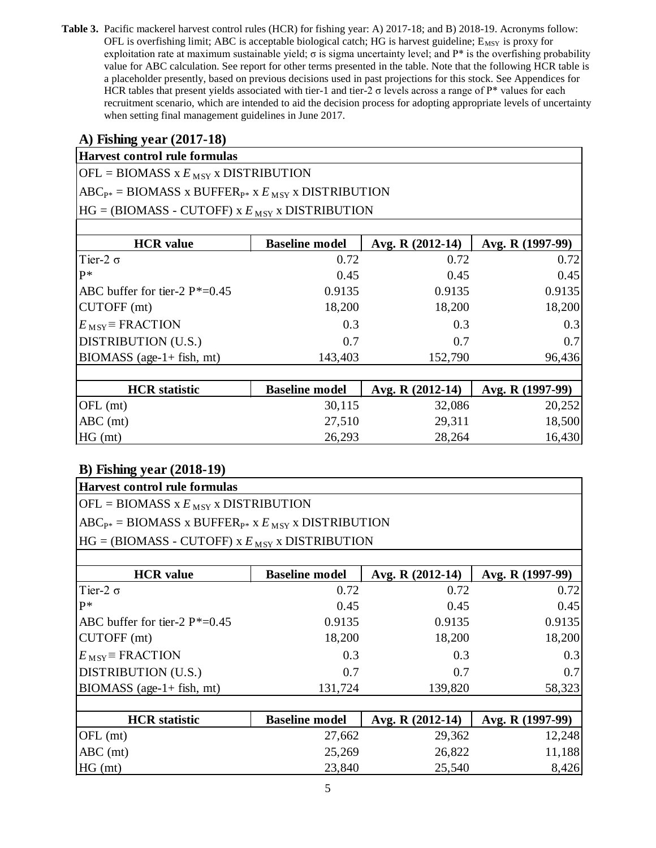**Table 3.** Pacific mackerel harvest control rules (HCR) for fishing year: A) 2017-18; and B) 2018-19. Acronyms follow: OFL is overfishing limit; ABC is acceptable biological catch; HG is harvest guideline;  $E_{MSY}$  is proxy for exploitation rate at maximum sustainable yield;  $\sigma$  is sigma uncertainty level; and  $P^*$  is the overfishing probability value for ABC calculation. See report for other terms presented in the table. Note that the following HCR table is a placeholder presently, based on previous decisions used in past projections for this stock. See Appendices for HCR tables that present yields associated with tier-1 and tier-2 σ levels across a range of P\* values for each recruitment scenario, which are intended to aid the decision process for adopting appropriate levels of uncertainty when setting final management guidelines in June 2017.

### **A) Fishing year (2017-18)**

### **Harvest control rule formulas**

 $OFL = BIOMASS \times E_{MSY} \times DISTRIBUTION$ 

 $ABC_{P*} = B IOMASS X BUFFER_{P*} X E_{MSY} X DISTRIBUTION$ 

 $HG = (B IOMASS - CUTOFF)$  x  $E_{MSY}$  x DISTRIBUTION

| <b>HCR</b> value                   | <b>Baseline model</b> | Avg. R (2012-14) | Avg. R (1997-99) |
|------------------------------------|-----------------------|------------------|------------------|
| Tier-2 $\sigma$                    | 0.72                  | 0.72             | 0.72             |
| $P*$                               | 0.45                  | 0.45             | 0.45             |
| ABC buffer for tier-2 $P^* = 0.45$ | 0.9135                | 0.9135           | 0.9135           |
| CUTOFF (mt)                        | 18,200                | 18,200           | 18,200           |
| $E_{\text{MSY}}$ = FRACTION        | 0.3                   | 0.3              | 0.3              |
| DISTRIBUTION (U.S.)                | 0.7                   | 0.7              | 0.7              |
| $B IOMASS$ (age-1+ fish, mt)       | 143,403               | 152,790          | 96,436           |
|                                    |                       |                  |                  |
| <b>HCR</b> statistic               | <b>Baseline model</b> | Avg. R (2012-14) | Avg. R (1997-99) |
| $OFL$ (mt)                         | 30,115                | 32,086           | 20,252           |
| $ABC$ (mt)                         | 27,510                | 29,311           | 18,500           |
| $HG$ (mt)                          | 26,293                | 28,264           | 16,430           |

| Harvest control rule formulas                                |                       |                  |                  |  |  |  |  |  |  |
|--------------------------------------------------------------|-----------------------|------------------|------------------|--|--|--|--|--|--|
| $[OFL = B IOMASS X EMSY X DISTRIBUTION$                      |                       |                  |                  |  |  |  |  |  |  |
| $ABC_{P*} = B IOMASS X BUFFER_{P*} X E_{MSY} X DISTRIBUTION$ |                       |                  |                  |  |  |  |  |  |  |
| $HG = (B IOMASS - CUTOFF)$ x $E_{MSY}$ x DISTRIBUTION        |                       |                  |                  |  |  |  |  |  |  |
|                                                              |                       |                  |                  |  |  |  |  |  |  |
| <b>HCR</b> value                                             | <b>Baseline model</b> | Avg. R (2012-14) | Avg. R (1997-99) |  |  |  |  |  |  |
| Tier-2 $\sigma$                                              | 0.72                  | 0.72             | 0.72             |  |  |  |  |  |  |
| $P*$                                                         | 0.45                  | 0.45             | 0.45             |  |  |  |  |  |  |
| ABC buffer for tier-2 $P^* = 0.45$                           | 0.9135                | 0.9135           | 0.9135           |  |  |  |  |  |  |
| CUTOFF (mt)                                                  | 18,200                | 18,200           | 18,200           |  |  |  |  |  |  |
| $E_{\text{MSY}}$ = FRACTION                                  | 0.3                   | 0.3              | 0.3              |  |  |  |  |  |  |
| <b>DISTRIBUTION (U.S.)</b>                                   | 0.7                   | 0.7              | 0.7              |  |  |  |  |  |  |
| $\text{BIOMASS}$ (age-1+ fish, mt)                           | 131,724               | 139,820          | 58,323           |  |  |  |  |  |  |
|                                                              |                       |                  |                  |  |  |  |  |  |  |
| <b>HCR</b> statistic                                         | <b>Baseline model</b> | Avg. R (2012-14) | Avg. R (1997-99) |  |  |  |  |  |  |
| $OFL$ (mt)                                                   | 27,662                | 29,362           | 12,248           |  |  |  |  |  |  |
| $ABC$ (mt)                                                   | 25,269                | 26,822           | 11,188           |  |  |  |  |  |  |
| HG (mt)                                                      | 23,840                | 25,540           | 8,426            |  |  |  |  |  |  |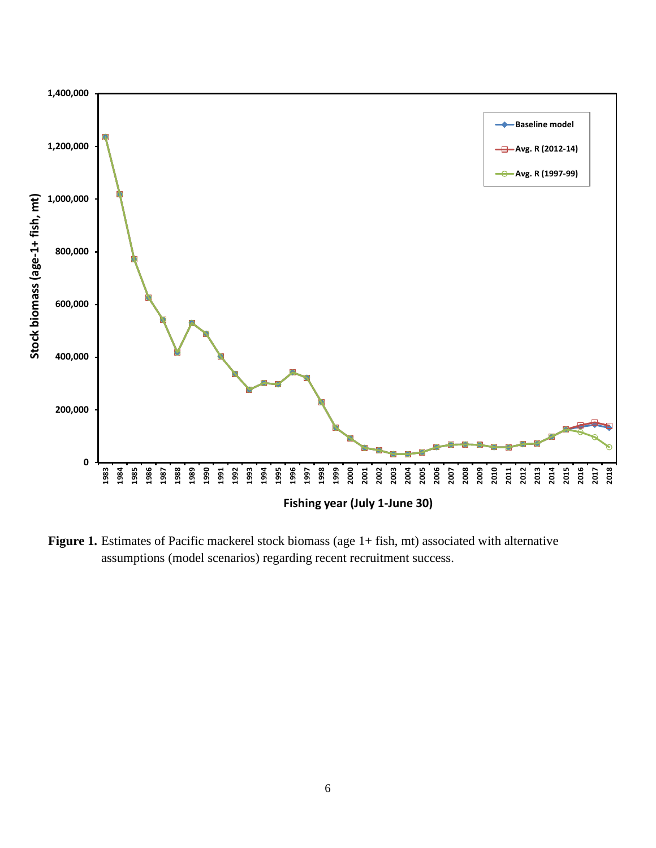

Figure 1. Estimates of Pacific mackerel stock biomass (age 1+ fish, mt) associated with alternative assumptions (model scenarios) regarding recent recruitment success.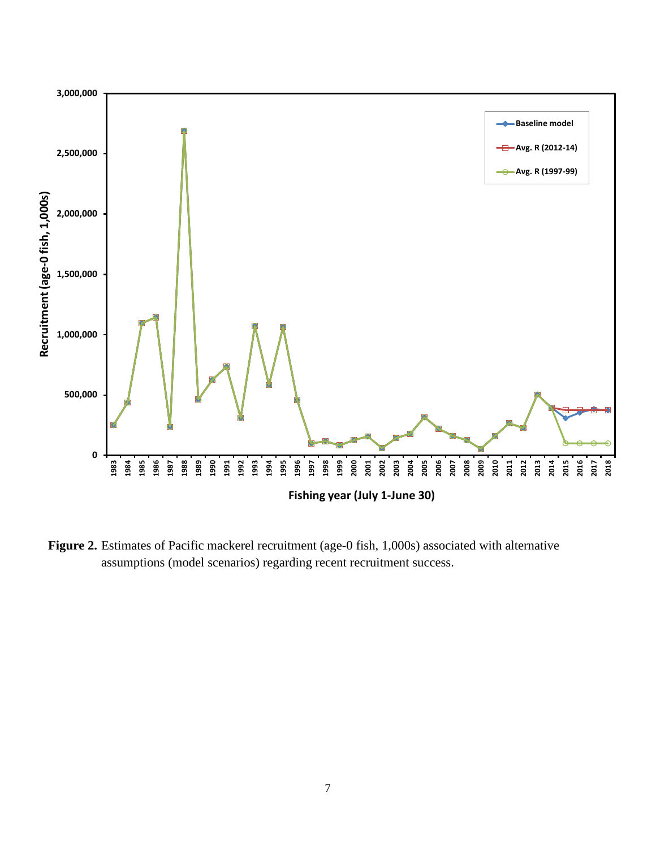

**Figure 2.** Estimates of Pacific mackerel recruitment (age-0 fish, 1,000s) associated with alternative assumptions (model scenarios) regarding recent recruitment success.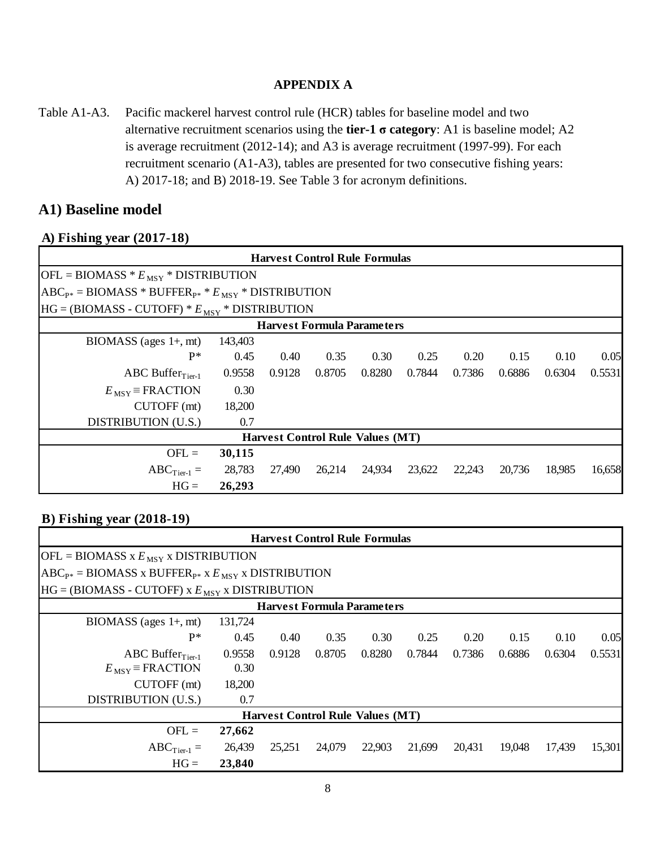#### **APPENDIX A**

Table A1-A3. Pacific mackerel harvest control rule (HCR) tables for baseline model and two alternative recruitment scenarios using the **tier-1 σ category**: A1 is baseline model; A2 is average recruitment (2012-14); and A3 is average recruitment (1997-99). For each recruitment scenario (A1-A3), tables are presented for two consecutive fishing years: A) 2017-18; and B) 2018-19. See Table 3 for acronym definitions.

### **A1) Baseline model**

#### **A) Fishing year (2017-18)**

|                                                              |         | <b>Harvest Control Rule Formulas</b>    |        |        |        |        |        |        |        |
|--------------------------------------------------------------|---------|-----------------------------------------|--------|--------|--------|--------|--------|--------|--------|
| $[OFL = BIOMASS * EMSY * DISTRIBUTION$                       |         |                                         |        |        |        |        |        |        |        |
| $ABC_{P*} = B IOMASS * BUFFER_{P*} * E_{MSY} * DISTRIBUTION$ |         |                                         |        |        |        |        |        |        |        |
| $HG = (B IOMASS - CUTOFF) * EMSY * DISTRIBUTION$             |         |                                         |        |        |        |        |        |        |        |
|                                                              |         | <b>Harvest Formula Parameters</b>       |        |        |        |        |        |        |        |
| $BIOMASS$ (ages $1+, mt$ )                                   | 143,403 |                                         |        |        |        |        |        |        |        |
| $P*$                                                         | 0.45    | 0.40                                    | 0.35   | 0.30   | 0.25   | 0.20   | 0.15   | 0.10   | 0.05   |
| ABC Buffer $_{Tier-1}$                                       | 0.9558  | 0.9128                                  | 0.8705 | 0.8280 | 0.7844 | 0.7386 | 0.6886 | 0.6304 | 0.5531 |
| $E_{\text{MSY}}$ = FRACTION                                  | 0.30    |                                         |        |        |        |        |        |        |        |
| CUTOFF (mt)                                                  | 18,200  |                                         |        |        |        |        |        |        |        |
| DISTRIBUTION (U.S.)                                          | 0.7     |                                         |        |        |        |        |        |        |        |
|                                                              |         | <b>Harvest Control Rule Values (MT)</b> |        |        |        |        |        |        |        |
| $OFL =$                                                      | 30,115  |                                         |        |        |        |        |        |        |        |
| $ABC$ <sub>Tier-1</sub> =                                    | 28,783  | 27,490                                  | 26,214 | 24,934 | 23,622 | 22,243 | 20,736 | 18,985 | 16,658 |
| $HG =$                                                       | 26,293  |                                         |        |        |        |        |        |        |        |

|                                                              |         |        | <b>Harvest Control Rule Formulas</b>    |        |        |        |        |        |        |
|--------------------------------------------------------------|---------|--------|-----------------------------------------|--------|--------|--------|--------|--------|--------|
| $[OFL = BIOMASS \times E_{MSY} \times DISTRIBUTION$          |         |        |                                         |        |        |        |        |        |        |
| $ABC_{P*} = B IOMASS X BUFFER_{P*} X E_{MSY} X DISTRIBUTION$ |         |        |                                         |        |        |        |        |        |        |
| $HG = (B IOMASS - CUTOFF)$ x $E_{MSY}$ x DISTRIBUTION        |         |        |                                         |        |        |        |        |        |        |
|                                                              |         |        | <b>Harvest Formula Parameters</b>       |        |        |        |        |        |        |
| $B IOMASS$ (ages $1+, mt$ )                                  | 131,724 |        |                                         |        |        |        |        |        |        |
| $P*$                                                         | 0.45    | 0.40   | 0.35                                    | 0.30   | 0.25   | 0.20   | 0.15   | 0.10   | 0.05   |
| ABC Buffer $_{Tier-1}$                                       | 0.9558  | 0.9128 | 0.8705                                  | 0.8280 | 0.7844 | 0.7386 | 0.6886 | 0.6304 | 0.5531 |
| $E_{\text{MSY}}$ = FRACTION                                  | 0.30    |        |                                         |        |        |        |        |        |        |
| CUTOFF (mt)                                                  | 18,200  |        |                                         |        |        |        |        |        |        |
| DISTRIBUTION (U.S.)                                          | 0.7     |        |                                         |        |        |        |        |        |        |
|                                                              |         |        | <b>Harvest Control Rule Values (MT)</b> |        |        |        |        |        |        |
| $OFL =$                                                      | 27,662  |        |                                         |        |        |        |        |        |        |
| $ABC$ <sub>Tier-1</sub> =                                    | 26,439  | 25,251 | 24,079                                  | 22,903 | 21,699 | 20,431 | 19,048 | 17,439 | 15,301 |
| $HG =$                                                       | 23,840  |        |                                         |        |        |        |        |        |        |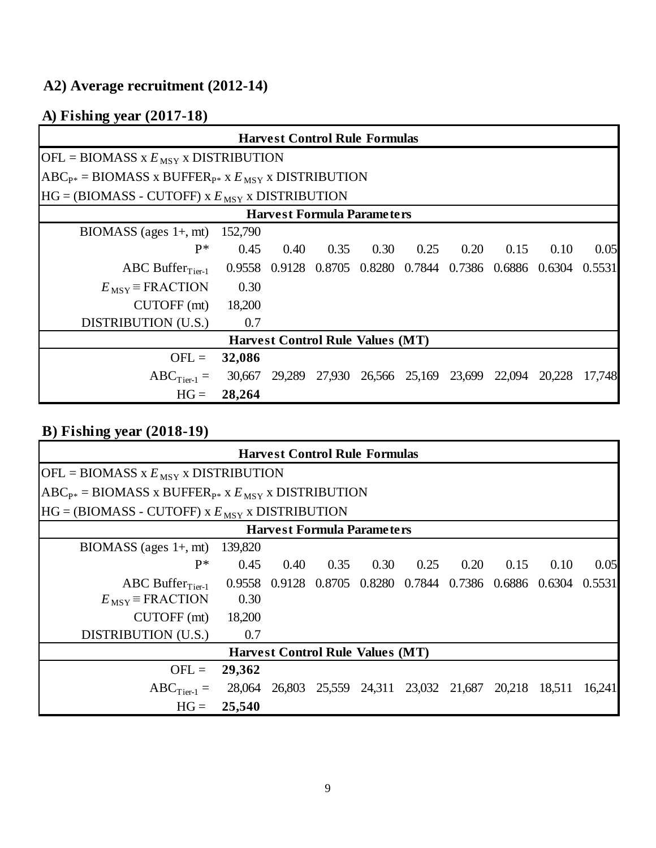## **A2) Average recruitment (2012-14)**

# **A) Fishing year (2017-18)**

|                                                              |        | <b>Harvest Control Rule Formulas</b>                    |      |      |      |                                                  |      |      |        |
|--------------------------------------------------------------|--------|---------------------------------------------------------|------|------|------|--------------------------------------------------|------|------|--------|
| $[OFL = BIOMASS \times E_{MSY} \times DISTRIBUTION$          |        |                                                         |      |      |      |                                                  |      |      |        |
| $ABC_{P*} = B IOMASS X BUFFER_{P*} X E_{MSY} X DISTRIBUTION$ |        |                                                         |      |      |      |                                                  |      |      |        |
| $HG = (B IOMASS - CUTOFF)$ x $E_{MSY}$ x DISTRIBUTION        |        |                                                         |      |      |      |                                                  |      |      |        |
|                                                              |        | <b>Harvest Formula Parameters</b>                       |      |      |      |                                                  |      |      |        |
| BIOMASS (ages $1+$ , mt) 152,790                             |        |                                                         |      |      |      |                                                  |      |      |        |
| $P*$                                                         | 0.45   | 0.40                                                    | 0.35 | 0.30 | 0.25 | 0.20                                             | 0.15 | 0.10 | 0.05   |
| ABC Buffer $_{Tier-1}$                                       |        | 0.9558 0.9128 0.8705 0.8280 0.7844 0.7386 0.6886 0.6304 |      |      |      |                                                  |      |      | 0.5531 |
| $E_{\text{MSY}}$ = FRACTION                                  | 0.30   |                                                         |      |      |      |                                                  |      |      |        |
| CUTOFF (mt)                                                  | 18,200 |                                                         |      |      |      |                                                  |      |      |        |
| DISTRIBUTION (U.S.)                                          | 0.7    |                                                         |      |      |      |                                                  |      |      |        |
|                                                              |        | <b>Harvest Control Rule Values (MT)</b>                 |      |      |      |                                                  |      |      |        |
| $OFL =$                                                      | 32,086 |                                                         |      |      |      |                                                  |      |      |        |
| $ABC_{Tier-1} =$                                             | 30,667 |                                                         |      |      |      | 29,289 27,930 26,566 25,169 23,699 22,094 20,228 |      |      | 17,748 |
| $HG =$                                                       | 28,264 |                                                         |      |      |      |                                                  |      |      |        |

|                                                              | <b>Harvest Control Rule Formulas</b> |      |      |                                         |      |      |                                                                |      |        |  |
|--------------------------------------------------------------|--------------------------------------|------|------|-----------------------------------------|------|------|----------------------------------------------------------------|------|--------|--|
| $[OFL = B IOMASS X EMSY X DISTRIBUTION$                      |                                      |      |      |                                         |      |      |                                                                |      |        |  |
| $ABC_{P*} = B IOMASS X BUFFER_{P*} X E_{MSY} X DISTRIBUTION$ |                                      |      |      |                                         |      |      |                                                                |      |        |  |
| $HG = (B IOMASS - CUTOFF)$ x $E_{MSY}$ x DISTRIBUTION        |                                      |      |      |                                         |      |      |                                                                |      |        |  |
|                                                              | <b>Harvest Formula Parameters</b>    |      |      |                                         |      |      |                                                                |      |        |  |
| $B IOMASS$ (ages $1+, mt$ )                                  | 139,820                              |      |      |                                         |      |      |                                                                |      |        |  |
| $P^*$                                                        | 0.45                                 | 0.40 | 0.35 | 0.30                                    | 0.25 | 0.20 | 0.15                                                           | 0.10 | 0.05   |  |
| ABC Buffer $_{Tier-1}$                                       |                                      |      |      |                                         |      |      | 0.9558 0.9128 0.8705 0.8280 0.7844 0.7386 0.6886 0.6304 0.5531 |      |        |  |
| $E_{\text{MSY}}$ = FRACTION                                  | 0.30                                 |      |      |                                         |      |      |                                                                |      |        |  |
| $CUTOFF$ (mt)                                                | 18,200                               |      |      |                                         |      |      |                                                                |      |        |  |
| DISTRIBUTION (U.S.)                                          | 0.7                                  |      |      |                                         |      |      |                                                                |      |        |  |
|                                                              |                                      |      |      | <b>Harvest Control Rule Values (MT)</b> |      |      |                                                                |      |        |  |
| $OFL =$                                                      | 29,362                               |      |      |                                         |      |      |                                                                |      |        |  |
| $ABC_{Tier-1} =$                                             | 28,064                               |      |      |                                         |      |      | 26,803 25,559 24,311 23,032 21,687 20,218 18,511               |      | 16,241 |  |
| $HG =$                                                       | 25,540                               |      |      |                                         |      |      |                                                                |      |        |  |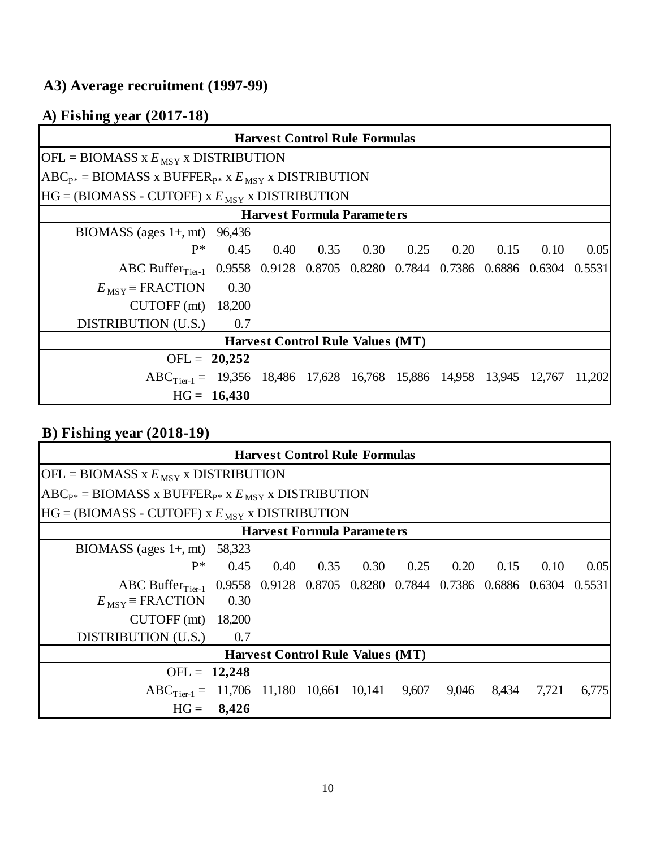## **A3) Average recruitment (1997-99)**

# **A) Fishing year (2017-18)**

|                                                                                             |               | <b>Harvest Control Rule Formulas</b>    |                             |  |      |      |      |        |
|---------------------------------------------------------------------------------------------|---------------|-----------------------------------------|-----------------------------|--|------|------|------|--------|
| $[OFL = B IOMASS X EMSY X DISTRIBUTION$                                                     |               |                                         |                             |  |      |      |      |        |
| $[ABC_{P*} = B IOMASS X BUFFER_{P*} X E_{MSY} X DISTRIBUTION$                               |               |                                         |                             |  |      |      |      |        |
| $HG = (B IOMASS - CUTOFF)$ x $E_{MSY}$ x DISTRIBUTION                                       |               |                                         |                             |  |      |      |      |        |
|                                                                                             |               | <b>Harvest Formula Parameters</b>       |                             |  |      |      |      |        |
| BIOMASS (ages $1+$ , mt) 96,436                                                             |               |                                         |                             |  |      |      |      |        |
| $P*$                                                                                        | 0.45          |                                         | $0.40$ $0.35$ $0.30$ $0.25$ |  | 0.20 | 0.15 | 0.10 | 0.05   |
| ABC Buffer <sub>Tier-1</sub> 0.9558 0.9128 0.8705 0.8280 0.7844 0.7386 0.6886 0.6304 0.5531 |               |                                         |                             |  |      |      |      |        |
| $E_{\text{MSY}}$ = FRACTION                                                                 | 0.30          |                                         |                             |  |      |      |      |        |
| CUTOFF $(mt)$ 18,200                                                                        |               |                                         |                             |  |      |      |      |        |
| DISTRIBUTION (U.S.)                                                                         | 0.7           |                                         |                             |  |      |      |      |        |
|                                                                                             |               | <b>Harvest Control Rule Values (MT)</b> |                             |  |      |      |      |        |
| OFL = $20,252$                                                                              |               |                                         |                             |  |      |      |      |        |
| $ABC_{Tier,1} = 19,356$ 18,486 17,628 16,768 15,886 14,958 13,945 12,767                    |               |                                         |                             |  |      |      |      | 11,202 |
|                                                                                             | $HG = 16,430$ |                                         |                             |  |      |      |      |        |

|                                                                                             |                                   |      | <b>Harvest Control Rule Formulas</b>    |      |      |       |       |       |       |  |
|---------------------------------------------------------------------------------------------|-----------------------------------|------|-----------------------------------------|------|------|-------|-------|-------|-------|--|
| $[OFL = BIOMASS \times E_{MSY} \times DISTRIBUTION$                                         |                                   |      |                                         |      |      |       |       |       |       |  |
| $[ABC_{P*} = B IOMASS X BUFFER_{P*} X E_{MSY} X DISTRIBUTION$                               |                                   |      |                                         |      |      |       |       |       |       |  |
| $HG = (B IOMASS - CUTOFF)$ x $E_{MSY}$ x DISTRIBUTION                                       |                                   |      |                                         |      |      |       |       |       |       |  |
|                                                                                             | <b>Harvest Formula Parameters</b> |      |                                         |      |      |       |       |       |       |  |
| BIOMASS (ages $1+$ , mt) 58,323                                                             |                                   |      |                                         |      |      |       |       |       |       |  |
| $P*$                                                                                        | 0.45                              | 0.40 | 0.35                                    | 0.30 | 0.25 | 0.20  | 0.15  | 0.10  | 0.05  |  |
| ABC Buffer <sub>Tier-1</sub> 0.9558 0.9128 0.8705 0.8280 0.7844 0.7386 0.6886 0.6304 0.5531 |                                   |      |                                         |      |      |       |       |       |       |  |
| $E_{\text{MSY}}$ = FRACTION                                                                 | 0.30                              |      |                                         |      |      |       |       |       |       |  |
| CUTOFF $(mt)$ 18,200                                                                        |                                   |      |                                         |      |      |       |       |       |       |  |
| DISTRIBUTION (U.S.) 0.7                                                                     |                                   |      |                                         |      |      |       |       |       |       |  |
|                                                                                             |                                   |      | <b>Harvest Control Rule Values (MT)</b> |      |      |       |       |       |       |  |
| OFL = $12,248$                                                                              |                                   |      |                                         |      |      |       |       |       |       |  |
| $\text{ABC}_{\text{Tier-1}} = 11,706 \quad 11,180 \quad 10,661 \quad 10,141 \quad 9,607$    |                                   |      |                                         |      |      | 9,046 | 8,434 | 7,721 | 6,775 |  |
| $HG =$                                                                                      | 8,426                             |      |                                         |      |      |       |       |       |       |  |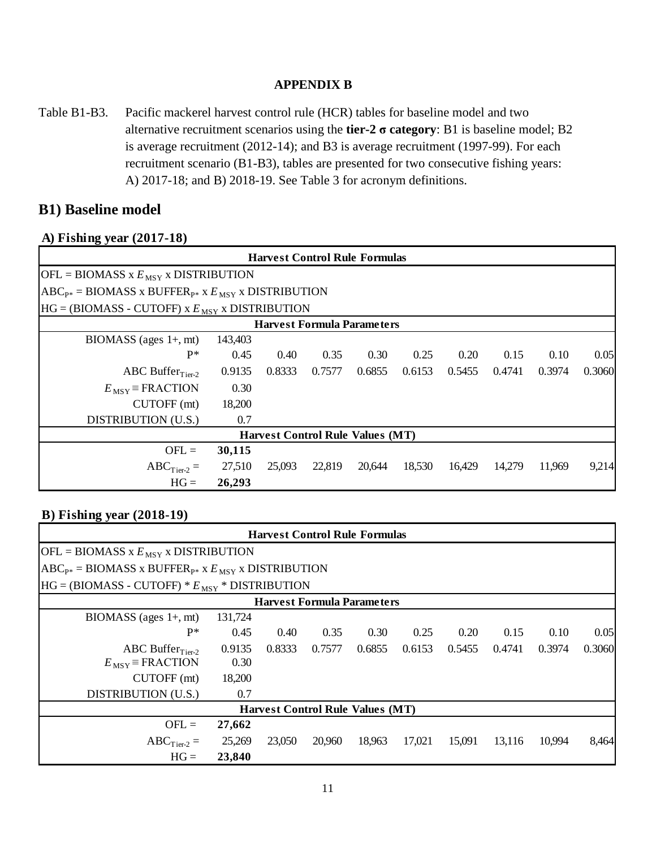#### **APPENDIX B**

Table B1-B3. Pacific mackerel harvest control rule (HCR) tables for baseline model and two alternative recruitment scenarios using the **tier-2 σ category**: B1 is baseline model; B2 is average recruitment (2012-14); and B3 is average recruitment (1997-99). For each recruitment scenario (B1-B3), tables are presented for two consecutive fishing years: A) 2017-18; and B) 2018-19. See Table 3 for acronym definitions.

### **B1) Baseline model**

#### **A) Fishing year (2017-18)**

|                                                              |         |        | <b>Harvest Control Rule Formulas</b>    |        |        |        |        |        |        |
|--------------------------------------------------------------|---------|--------|-----------------------------------------|--------|--------|--------|--------|--------|--------|
| $[OFL = B IOMASS X EMSY X DISTRIBUTION$                      |         |        |                                         |        |        |        |        |        |        |
| $ABC_{P*} = B IOMASS X BUFFER_{P*} X E_{MSY} X DISTRIBUTION$ |         |        |                                         |        |        |        |        |        |        |
| $HG = (B IOMASS - CUTOFF)$ x $E_{MSY}$ x DISTRIBUTION        |         |        |                                         |        |        |        |        |        |        |
|                                                              |         |        | <b>Harvest Formula Parameters</b>       |        |        |        |        |        |        |
| $B IOMASS$ (ages $1+, mt$ )                                  | 143,403 |        |                                         |        |        |        |        |        |        |
| $P*$                                                         | 0.45    | 0.40   | 0.35                                    | 0.30   | 0.25   | 0.20   | 0.15   | 0.10   | 0.05   |
| ABC Buffer $_{Tier-2}$                                       | 0.9135  | 0.8333 | 0.7577                                  | 0.6855 | 0.6153 | 0.5455 | 0.4741 | 0.3974 | 0.3060 |
| $E_{\text{MSY}}$ = FRACTION                                  | 0.30    |        |                                         |        |        |        |        |        |        |
| $CUTOFF$ (mt)                                                | 18,200  |        |                                         |        |        |        |        |        |        |
| DISTRIBUTION (U.S.)                                          | 0.7     |        |                                         |        |        |        |        |        |        |
|                                                              |         |        | <b>Harvest Control Rule Values (MT)</b> |        |        |        |        |        |        |
| $OFL =$                                                      | 30,115  |        |                                         |        |        |        |        |        |        |
| $ABC_{Tier-2} =$                                             | 27,510  | 25,093 | 22,819                                  | 20,644 | 18,530 | 16,429 | 14,279 | 11,969 | 9,214  |
| $HG =$                                                       | 26,293  |        |                                         |        |        |        |        |        |        |

|                                                              |         |        | <b>Harvest Control Rule Formulas</b>    |        |        |        |        |        |        |
|--------------------------------------------------------------|---------|--------|-----------------------------------------|--------|--------|--------|--------|--------|--------|
| $[OFL = BIOMASS X EMSY X DISTRIBUTION$                       |         |        |                                         |        |        |        |        |        |        |
| $ABC_{P*} = B IOMASS X BUFFER_{P*} X E_{MSY} X DISTRIBUTION$ |         |        |                                         |        |        |        |        |        |        |
| $HG = (B IOMASS - CUTOFF) * EMSY * DISTRIBUTION$             |         |        |                                         |        |        |        |        |        |        |
|                                                              |         |        | <b>Harvest Formula Parameters</b>       |        |        |        |        |        |        |
| $BIOMASS$ (ages $1+, mt$ )                                   | 131,724 |        |                                         |        |        |        |        |        |        |
| $P*$                                                         | 0.45    | 0.40   | 0.35                                    | 0.30   | 0.25   | 0.20   | 0.15   | 0.10   | 0.05   |
| ABC Buffer $_{Tier-2}$                                       | 0.9135  | 0.8333 | 0.7577                                  | 0.6855 | 0.6153 | 0.5455 | 0.4741 | 0.3974 | 0.3060 |
| $E_{\text{MSY}}$ = FRACTION                                  | 0.30    |        |                                         |        |        |        |        |        |        |
| CUTOFF (mt)                                                  | 18,200  |        |                                         |        |        |        |        |        |        |
| DISTRIBUTION (U.S.)                                          | 0.7     |        |                                         |        |        |        |        |        |        |
|                                                              |         |        | <b>Harvest Control Rule Values (MT)</b> |        |        |        |        |        |        |
| $OFL =$                                                      | 27,662  |        |                                         |        |        |        |        |        |        |
| $ABC$ <sub>Tier-2</sub> =                                    | 25,269  | 23,050 | 20,960                                  | 18,963 | 17,021 | 15,091 | 13,116 | 10.994 | 8,464  |
| $HG =$                                                       | 23,840  |        |                                         |        |        |        |        |        |        |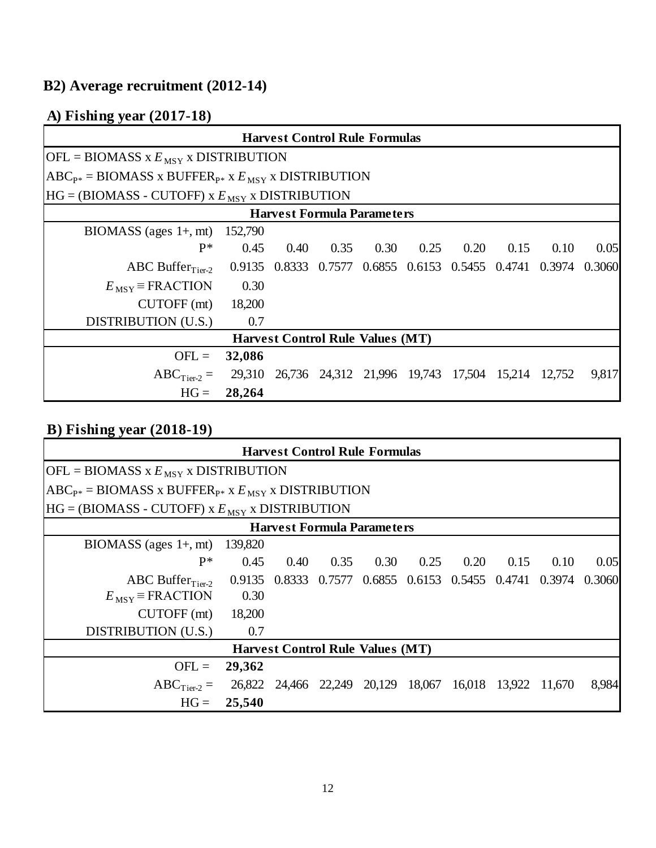# **B2) Average recruitment (2012-14)**

## **A) Fishing year (2017-18)**

|                                                              |        | <b>Harvest Control Rule Formulas</b> |      |  |  |                                |                                                                |      |       |
|--------------------------------------------------------------|--------|--------------------------------------|------|--|--|--------------------------------|----------------------------------------------------------------|------|-------|
| $[OFL = B IOMASS \times E_{MSY} \times DISTRIBUTION$         |        |                                      |      |  |  |                                |                                                                |      |       |
| $ABC_{P*} = B IOMASS X BUFFER_{P*} X E_{MSY} X DISTRIBUTION$ |        |                                      |      |  |  |                                |                                                                |      |       |
| $HG = (B IOMASS - CUTOFF)$ x $E_{MSY}$ x DISTRIBUTION        |        |                                      |      |  |  |                                |                                                                |      |       |
| <b>Harvest Formula Parameters</b>                            |        |                                      |      |  |  |                                |                                                                |      |       |
| BIOMASS (ages $1+$ , mt) 152,790                             |        |                                      |      |  |  |                                |                                                                |      |       |
| $P*$                                                         | 0.45   | 0.40                                 | 0.35 |  |  | $0.30 \qquad 0.25 \qquad 0.20$ | 0.15                                                           | 0.10 | 0.05  |
| ABC Buffer $_{Tier-2}$                                       |        |                                      |      |  |  |                                | 0.9135 0.8333 0.7577 0.6855 0.6153 0.5455 0.4741 0.3974 0.3060 |      |       |
| $E_{\text{MSY}}$ = FRACTION                                  | 0.30   |                                      |      |  |  |                                |                                                                |      |       |
| $CUTOFF$ (mt)                                                | 18,200 |                                      |      |  |  |                                |                                                                |      |       |
| DISTRIBUTION (U.S.)                                          | 0.7    |                                      |      |  |  |                                |                                                                |      |       |
| <b>Harvest Control Rule Values (MT)</b>                      |        |                                      |      |  |  |                                |                                                                |      |       |
| $OFL =$                                                      | 32,086 |                                      |      |  |  |                                |                                                                |      |       |
| $ABC_{Tier-2} =$                                             | 29,310 |                                      |      |  |  |                                | 26,736 24,312 21,996 19,743 17,504 15,214 12,752               |      | 9,817 |
| $HG =$                                                       | 28,264 |                                      |      |  |  |                                |                                                                |      |       |

| <b>Harvest Control Rule Formulas</b>                         |         |      |      |      |      |                                                         |      |      |        |
|--------------------------------------------------------------|---------|------|------|------|------|---------------------------------------------------------|------|------|--------|
| $[OFL = BIOMASS \times E_{MSY} \times DISTRIBUTION$          |         |      |      |      |      |                                                         |      |      |        |
| $ABC_{P*} = B IOMASS X BUFFER_{P*} X E_{MSY} X DISTRIBUTION$ |         |      |      |      |      |                                                         |      |      |        |
| $HG = (B IOMASS - CUTOFF)$ x $E_{MSY}$ x DISTRIBUTION        |         |      |      |      |      |                                                         |      |      |        |
| <b>Harvest Formula Parameters</b>                            |         |      |      |      |      |                                                         |      |      |        |
| $B IOMASS$ (ages $1+, mt$ )                                  | 139,820 |      |      |      |      |                                                         |      |      |        |
| $P^*$                                                        | 0.45    | 0.40 | 0.35 | 0.30 | 0.25 | 0.20                                                    | 0.15 | 0.10 | 0.05   |
| ABC Buffer $_{Tier-2}$                                       |         |      |      |      |      | 0.9135 0.8333 0.7577 0.6855 0.6153 0.5455 0.4741 0.3974 |      |      | 0.3060 |
| $E_{\text{MSY}}$ = FRACTION                                  | 0.30    |      |      |      |      |                                                         |      |      |        |
| CUTOFF (mt)                                                  | 18,200  |      |      |      |      |                                                         |      |      |        |
| DISTRIBUTION (U.S.)                                          | 0.7     |      |      |      |      |                                                         |      |      |        |
| <b>Harvest Control Rule Values (MT)</b>                      |         |      |      |      |      |                                                         |      |      |        |
| $OFL =$                                                      | 29,362  |      |      |      |      |                                                         |      |      |        |
| $ABC_{Tier-2} =$                                             | 26,822  |      |      |      |      | 24,466 22,249 20,129 18,067 16,018 13,922 11,670        |      |      | 8,984  |
| $HG =$                                                       | 25,540  |      |      |      |      |                                                         |      |      |        |